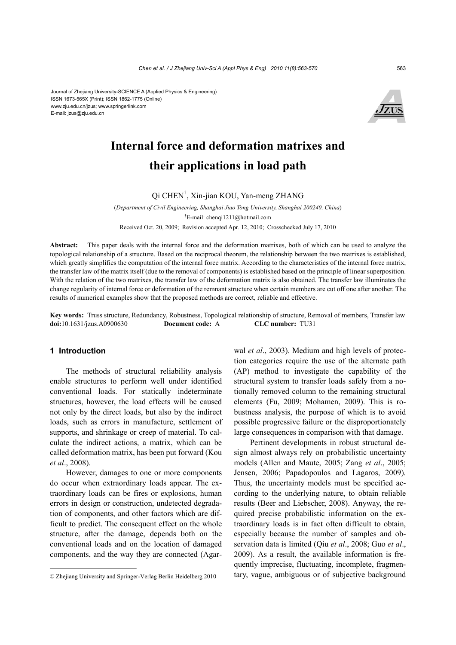ISSN 1673-565X (Print); ISSN 1862-1775 (Online) www.zju.edu.cn/jzus; www.springerlink.com E-mail: jzus@zju.edu.cn



## **Internal force and deformation matrixes and their applications in load path**

Qi CHEN† , Xin-jian KOU, Yan-meng ZHANG

(*Department of Civil Engineering, Shanghai Jiao Tong University, Shanghai 200240, China*) † E-mail: chenqi1211@hotmail.com Received Oct. 20, 2009; Revision accepted Apr. 12, 2010; Crosschecked July 17, 2010

**Abstract:** This paper deals with the internal force and the deformation matrixes, both of which can be used to analyze the topological relationship of a structure. Based on the reciprocal theorem, the relationship between the two matrixes is established, which greatly simplifies the computation of the internal force matrix. According to the characteristics of the internal force matrix, the transfer law of the matrix itself (due to the removal of components) is established based on the principle of linear superposition. With the relation of the two matrixes, the transfer law of the deformation matrix is also obtained. The transfer law illuminates the change regularity of internal force or deformation of the remnant structure when certain members are cut off one after another. The results of numerical examples show that the proposed methods are correct, reliable and effective.

**Key words:** Truss structure, Redundancy, Robustness, Topological relationship of structure, Removal of members, Transfer law **doi:**10.1631/jzus.A0900630 **Document code:** A **CLC number:** TU31

#### **1 Introduction**

The methods of structural reliability analysis enable structures to perform well under identified conventional loads. For statically indeterminate structures, however, the load effects will be caused not only by the direct loads, but also by the indirect loads, such as errors in manufacture, settlement of supports, and shrinkage or creep of material. To calculate the indirect actions, a matrix, which can be called deformation matrix, has been put forward (Kou *et al*., 2008).

However, damages to one or more components do occur when extraordinary loads appear. The extraordinary loads can be fires or explosions, human errors in design or construction, undetected degradation of components, and other factors which are difficult to predict. The consequent effect on the whole structure, after the damage, depends both on the conventional loads and on the location of damaged components, and the way they are connected (Agarwal *et al*., 2003). Medium and high levels of protection categories require the use of the alternate path (AP) method to investigate the capability of the structural system to transfer loads safely from a notionally removed column to the remaining structural elements (Fu, 2009; Mohamen, 2009). This is robustness analysis, the purpose of which is to avoid possible progressive failure or the disproportionately large consequences in comparison with that damage.

Pertinent developments in robust structural design almost always rely on probabilistic uncertainty models (Allen and Maute, 2005; Zang *et al*., 2005; Jensen, 2006; Papadopoulos and Lagaros, 2009). Thus, the uncertainty models must be specified according to the underlying nature, to obtain reliable results (Beer and Liebscher, 2008). Anyway, the required precise probabilistic information on the extraordinary loads is in fact often difficult to obtain, especially because the number of samples and observation data is limited (Qiu *et al*., 2008; Guo *et al*., 2009). As a result, the available information is frequently imprecise, fluctuating, incomplete, fragmentary, vague, ambiguous or of subjective background

<sup>©</sup> Zhejiang University and Springer-Verlag Berlin Heidelberg 2010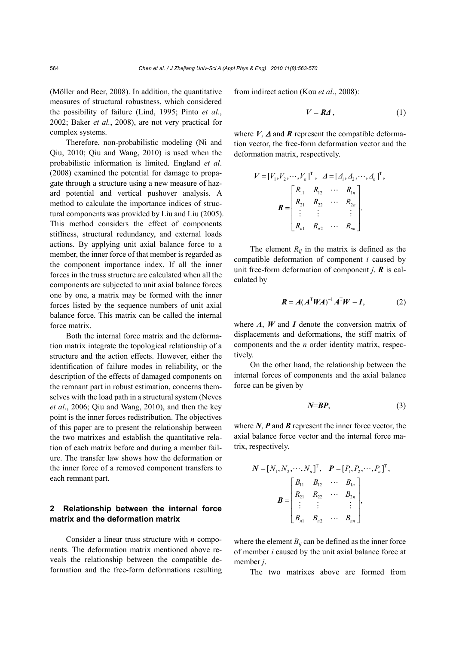(Möller and Beer, 2008). In addition, the quantitative measures of structural robustness, which considered the possibility of failure (Lind, 1995; Pinto *et al*., 2002; Baker *et al.*, 2008), are not very practical for complex systems.

Therefore, non-probabilistic modeling (Ni and Qiu, 2010; Qiu and Wang, 2010) is used when the probabilistic information is limited. England *et al*. (2008) examined the potential for damage to propagate through a structure using a new measure of hazard potential and vertical pushover analysis. A method to calculate the importance indices of structural components was provided by Liu and Liu (2005). This method considers the effect of components stiffness, structural redundancy, and external loads actions. By applying unit axial balance force to a member, the inner force of that member is regarded as the component importance index. If all the inner forces in the truss structure are calculated when all the components are subjected to unit axial balance forces one by one, a matrix may be formed with the inner forces listed by the sequence numbers of unit axial balance force. This matrix can be called the internal force matrix.

Both the internal force matrix and the deformation matrix integrate the topological relationship of a structure and the action effects. However, either the identification of failure modes in reliability, or the description of the effects of damaged components on the remnant part in robust estimation, concerns themselves with the load path in a structural system (Neves *et al*., 2006; Qiu and Wang, 2010), and then the key point is the inner forces redistribution. The objectives of this paper are to present the relationship between the two matrixes and establish the quantitative relation of each matrix before and during a member failure. The transfer law shows how the deformation or the inner force of a removed component transfers to each remnant part.

## **2 Relationship between the internal force matrix and the deformation matrix**

Consider a linear truss structure with *n* components. The deformation matrix mentioned above reveals the relationship between the compatible deformation and the free-form deformations resulting from indirect action (Kou *et al*., 2008):

$$
V = R\Delta, \tag{1}
$$

where  $V$ ,  $\Delta$  and  $\hat{R}$  represent the compatible deformation vector, the free-form deformation vector and the deformation matrix, respectively.

$$
V = [V_1, V_2, \cdots, V_n]^T, \quad A = [A_1, A_2, \cdots, A_n]^T,
$$

$$
R = \begin{bmatrix} R_{11} & R_{12} & \cdots & R_{1n} \\ R_{21} & R_{22} & \cdots & R_{2n} \\ \vdots & \vdots & & \vdots \\ R_{n1} & R_{n2} & \cdots & R_{nn} \end{bmatrix}.
$$

The element  $R_{ij}$  in the matrix is defined as the compatible deformation of component *i* caused by unit free-form deformation of component *j*. *R* is calculated by

$$
\boldsymbol{R} = A(A^{\mathrm{T}}\boldsymbol{W} A)^{-1}A^{\mathrm{T}}\boldsymbol{W} - \boldsymbol{I}, \tag{2}
$$

where *A*, *W* and *I* denote the conversion matrix of displacements and deformations, the stiff matrix of components and the *n* order identity matrix, respectively.

On the other hand, the relationship between the internal forces of components and the axial balance force can be given by

$$
N=B\boldsymbol{P},\tag{3}
$$

where *N*, *P* and *B* represent the inner force vector, the axial balance force vector and the internal force matrix, respectively.

$$
\mathbf{N} = [N_1, N_2, \cdots, N_n]^{\mathrm{T}}, \quad \mathbf{P} = [P_1, P_2, \cdots, P_n]^{\mathrm{T}},
$$

$$
\mathbf{B} = \begin{bmatrix} B_{11} & B_{12} & \cdots & B_{1n} \\ R_{21} & R_{22} & \cdots & B_{2n} \\ \vdots & \vdots & & \vdots \\ B_{n1} & B_{n2} & \cdots & B_{nn} \end{bmatrix},
$$

where the element  $B_{ii}$  can be defined as the inner force of member *i* caused by the unit axial balance force at member *j*.

The two matrixes above are formed from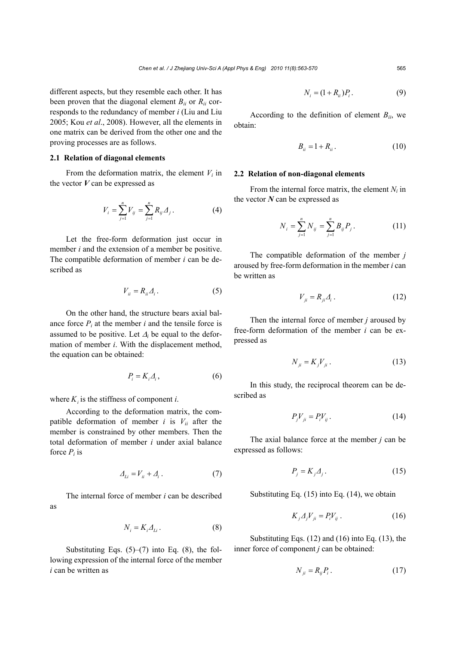different aspects, but they resemble each other. It has been proven that the diagonal element *Bii* or *Rii* corresponds to the redundancy of member *i* (Liu and Liu 2005; Kou *et al*., 2008). However, all the elements in one matrix can be derived from the other one and the proving processes are as follows.

## **2.1 Relation of diagonal elements**

From the deformation matrix, the element  $V_i$  in the vector *V* can be expressed as

$$
V_i = \sum_{j=1}^{n} V_{ij} = \sum_{j=1}^{n} R_{ij} \Delta_j.
$$
 (4)

Let the free-form deformation just occur in member *i* and the extension of a member be positive. The compatible deformation of member *i* can be described as

$$
V_{ii} = R_{ii} \Delta_i \,. \tag{5}
$$

On the other hand, the structure bears axial balance force  $P_i$  at the member  $i$  and the tensile force is assumed to be positive. Let  $\Delta_i$  be equal to the deformation of member *i*. With the displacement method, the equation can be obtained:

$$
P_i = K_i \Delta_i, \tag{6}
$$

where  $K_i$  is the stiffness of component *i*.

According to the deformation matrix, the compatible deformation of member  $i$  is  $V_{ii}$  after the member is constrained by other members. Then the total deformation of member *i* under axial balance force  $P_i$  is

$$
\Delta_{Li} = V_{ii} + \Delta_i \,. \tag{7}
$$

The internal force of member *i* can be described as

$$
N_i = K_i \Delta_{Li} \,. \tag{8}
$$

Substituting Eqs.  $(5)$ – $(7)$  into Eq.  $(8)$ , the following expression of the internal force of the member *i* can be written as

$$
N_i = (1 + R_{ii})P_i. \tag{9}
$$

According to the definition of element  $B_{ii}$ , we obtain:

$$
B_{ii} = 1 + R_{ii} \,. \tag{10}
$$

#### **2.2 Relation of non-diagonal elements**

From the internal force matrix, the element  $N_i$  in the vector *N* can be expressed as

$$
N_i = \sum_{j=1}^{n} N_{ij} = \sum_{j=1}^{n} B_{ij} P_j.
$$
 (11)

The compatible deformation of the member *j* aroused by free-form deformation in the member *i* can be written as

$$
V_{ji} = R_{ji} \Delta_i \,. \tag{12}
$$

Then the internal force of member *j* aroused by free-form deformation of the member *i* can be expressed as

$$
N_{ji} = K_j V_{ji} \,. \tag{13}
$$

In this study, the reciprocal theorem can be described as

$$
P_j V_{ji} = P_i V_{ij} \,. \tag{14}
$$

The axial balance force at the member *j* can be expressed as follows:

$$
P_j = K_j \Delta_j. \tag{15}
$$

Substituting Eq. (15) into Eq. (14), we obtain

$$
K_j \Delta_j V_{ji} = P_i V_{ij} \,. \tag{16}
$$

Substituting Eqs. (12) and (16) into Eq. (13), the inner force of component *j* can be obtained:

$$
N_{ji} = R_{ij} P_i \,. \tag{17}
$$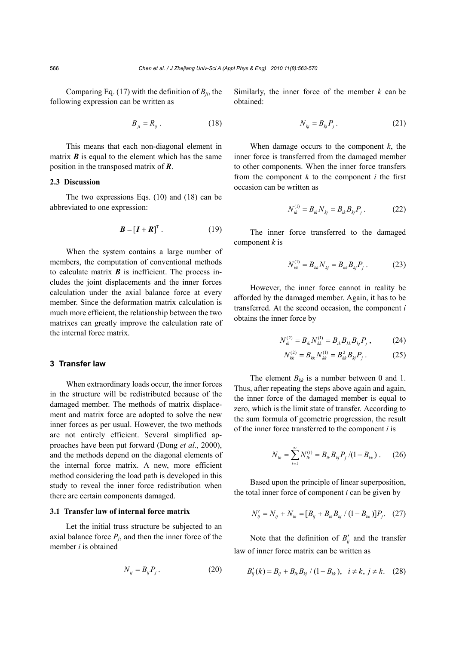Comparing Eq. (17) with the definition of  $B_{ji}$ , the following expression can be written as

$$
B_{ji} = R_{ij} \tag{18}
$$

This means that each non-diagonal element in matrix  $\boldsymbol{B}$  is equal to the element which has the same position in the transposed matrix of *R*.

## **2.3 Discussion**

The two expressions Eqs. (10) and (18) can be abbreviated to one expression:

$$
\boldsymbol{B} = [\boldsymbol{I} + \boldsymbol{R}]^{T} \,. \tag{19}
$$

When the system contains a large number of members, the computation of conventional methods to calculate matrix  $\boldsymbol{B}$  is inefficient. The process includes the joint displacements and the inner forces calculation under the axial balance force at every member. Since the deformation matrix calculation is much more efficient, the relationship between the two matrixes can greatly improve the calculation rate of the internal force matrix.

#### **3 Transfer law**

When extraordinary loads occur, the inner forces in the structure will be redistributed because of the damaged member. The methods of matrix displacement and matrix force are adopted to solve the new inner forces as per usual. However, the two methods are not entirely efficient. Several simplified approaches have been put forward (Dong *et al*., 2000), and the methods depend on the diagonal elements of the internal force matrix. A new, more efficient method considering the load path is developed in this study to reveal the inner force redistribution when there are certain components damaged.

#### **3.1 Transfer law of internal force matrix**

Let the initial truss structure be subjected to an axial balance force  $P_i$ , and then the inner force of the member *i* is obtained

$$
N_{ij} = B_{ij} P_j \,. \tag{20}
$$

Similarly, the inner force of the member  $k$  can be obtained:

$$
N_{kj} = B_{kj} P_j. \tag{21}
$$

When damage occurs to the component  $k$ , the inner force is transferred from the damaged member to other components. When the inner force transfers from the component  $k$  to the component  $i$  the first occasion can be written as

$$
N_{ik}^{(1)} = B_{ik} N_{kj} = B_{ik} B_{kj} P_j. \tag{22}
$$

The inner force transferred to the damaged component *k* is

$$
N_{kk}^{(1)} = B_{kk} N_{kj} = B_{kk} B_{kj} P_j .
$$
 (23)

However, the inner force cannot in reality be afforded by the damaged member. Again, it has to be transferred. At the second occasion, the component *i* obtains the inner force by

$$
N_{ik}^{(2)} = B_{ik} N_{kk}^{(1)} = B_{ik} B_{kk} B_{kj} P_j , \qquad (24)
$$

$$
N_{kk}^{(2)} = B_{kk} N_{kk}^{(1)} = B_{kk}^2 B_{kj} P_j \,. \tag{25}
$$

The element  $B_{kk}$  is a number between 0 and 1. Thus, after repeating the steps above again and again, the inner force of the damaged member is equal to zero, which is the limit state of transfer. According to the sum formula of geometric progression, the result of the inner force transferred to the component *i* is

$$
N_{ik} = \sum_{t=1}^{\infty} N_{ik}^{(t)} = B_{ik} B_{kj} P_j / (1 - B_{kk}). \tag{26}
$$

Based upon the principle of linear superposition, the total inner force of component *i* can be given by

$$
N'_{ij} = N_{ij} + N_{ik} = [B_{ij} + B_{ik}B_{kj} / (1 - B_{kk})]P_j.
$$
 (27)

Note that the definition of  $B'_{ij}$  and the transfer law of inner force matrix can be written as

$$
B'_{ij}(k) = B_{ij} + B_{ik}B_{kj} / (1 - B_{kk}), \quad i \neq k, j \neq k. \quad (28)
$$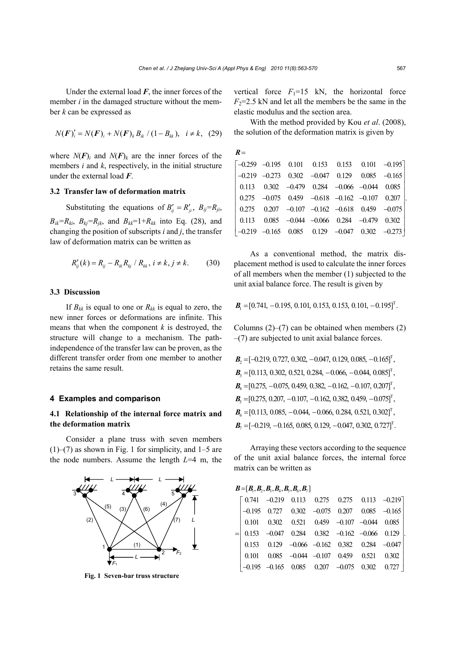Under the external load  $F$ , the inner forces of the member *i* in the damaged structure without the member *k* can be expressed as

$$
N(F)'_i = N(F)_i + N(F)_k B_{ik} / (1 - B_{kk}), \quad i \neq k, \tag{29}
$$

where  $N(F)$  and  $N(F)$  are the inner forces of the members *i* and *k*, respectively, in the initial structure under the external load *F*.

## **3.2 Transfer law of deformation matrix**

Substituting the equations of  $B'_{ij} = R'_{ji}$ ,  $B_{ij} = R_{ji}$ ,  $B_{ik}=R_{ki}$ ,  $B_{ki}=R_{ik}$ , and  $B_{kk}=1+R_{kk}$  into Eq. (28), and changing the position of subscripts *i* and *j*, the transfer law of deformation matrix can be written as

$$
R'_{ij}(k) = R_{ij} - R_{ik}R_{kj} / R_{kk}, i \neq k, j \neq k.
$$
 (30)

#### **3.3 Discussion**

If  $B_{kk}$  is equal to one or  $R_{kk}$  is equal to zero, the new inner forces or deformations are infinite. This means that when the component  $k$  is destroyed, the structure will change to a mechanism. The pathindependence of the transfer law can be proven, as the different transfer order from one member to another retains the same result.

#### **4 Examples and comparison**

## **4.1 Relationship of the internal force matrix and the deformation matrix**

Consider a plane truss with seven members  $(1)$ – $(7)$  as shown in Fig. 1 for simplicity, and 1–5 are the node numbers. Assume the length *L*=4 m, the



**Fig. 1 Seven-bar truss structure**

vertical force  $F_1=15$  kN, the horizontal force  $F_2$ =2.5 kN and let all the members be the same in the elastic modulus and the section area.

With the method provided by Kou *et al*. (2008), the solution of the deformation matrix is given by

| $R =$ |  |  |                                                                                                |  |
|-------|--|--|------------------------------------------------------------------------------------------------|--|
|       |  |  | $\begin{bmatrix} -0.259 & -0.195 & 0.101 & 0.153 & 0.153 & 0.101 & -0.195 \end{bmatrix}$       |  |
|       |  |  | $\begin{vmatrix} -0.219 & -0.273 & 0.302 & -0.047 & 0.129 & 0.085 & -0.165 \end{vmatrix}$      |  |
|       |  |  | $\begin{array}{ rrrr} 0.113 & 0.302 & -0.479 & 0.284 & -0.066 & -0.044 & 0.085 \end{array}$    |  |
|       |  |  | $\begin{array}{ rrrrrr} 0.275 & -0.075 & 0.459 & -0.618 & -0.162 & -0.107 & 0.207 \end{array}$ |  |
|       |  |  | $\begin{vmatrix} 0.275 & 0.207 & -0.107 & -0.162 & -0.618 & 0.459 & -0.075 \end{vmatrix}$      |  |
|       |  |  |                                                                                                |  |
|       |  |  | $\begin{bmatrix} -0.219 & -0.165 & 0.085 & 0.129 & -0.047 & 0.302 & -0.273 \end{bmatrix}$      |  |

As a conventional method, the matrix displacement method is used to calculate the inner forces of all members when the member (1) subjected to the unit axial balance force. The result is given by

 $B_1 = [0.741, -0.195, 0.101, 0.153, 0.153, 0.101, -0.195]^T$ .

Columns  $(2)$ – $(7)$  can be obtained when members  $(2)$  $-(7)$  are subjected to unit axial balance forces.

| $\mathbf{B}_{2} = [-0.219, 0.727, 0.302, -0.047, 0.129, 0.085, -0.165]^{T}$ , |
|-------------------------------------------------------------------------------|
| $\mathbf{B}_{3} = [0.113, 0.302, 0.521, 0.284, -0.066, -0.044, 0.085]^{T}$ ,  |
| $B_4 = [0.275, -0.075, 0.459, 0.382, -0.162, -0.107, 0.207]^\text{T}$ ,       |
| $B_5 = [0.275, 0.207, -0.107, -0.162, 0.382, 0.459, -0.075]^T$ ,              |
| $B_6 = [0.113, 0.085, -0.044, -0.066, 0.284, 0.521, 0.302]^\text{T}$ ,        |
| $\mathbf{B}_{7} = [-0.219, -0.165, 0.085, 0.129, -0.047, 0.302, 0.727]^{T}$ . |

Arraying these vectors according to the sequence of the unit axial balance forces, the internal force matrix can be written as

 $B = [B_1, B_2, B_3, B_4, B_5, B_6, B_7]$ 

|  |  |  | $\begin{bmatrix} 0.741 & -0.219 & 0.113 & 0.275 & 0.275 & 0.113 & -0.219 \end{bmatrix}$ |
|--|--|--|-----------------------------------------------------------------------------------------|
|  |  |  | $-0.195$ 0.727 0.302 $-0.075$ 0.207 0.085 $-0.165$                                      |
|  |  |  | 0.101  0.302  0.521  0.459 $-0.107$ $-0.044$ 0.085                                      |
|  |  |  | $=$ 0.153 -0.047 0.284 0.382 -0.162 -0.066 0.129                                        |
|  |  |  | $0.153$ $0.129$ $-0.066$ $-0.162$ $0.382$ $0.284$ $-0.047$                              |
|  |  |  | $0.101$ $0.085$ $-0.044$ $-0.107$ $0.459$ $0.521$ $0.302$                               |
|  |  |  | $-0.195$ $-0.165$ $0.085$ $0.207$ $-0.075$ $0.302$ $0.727$                              |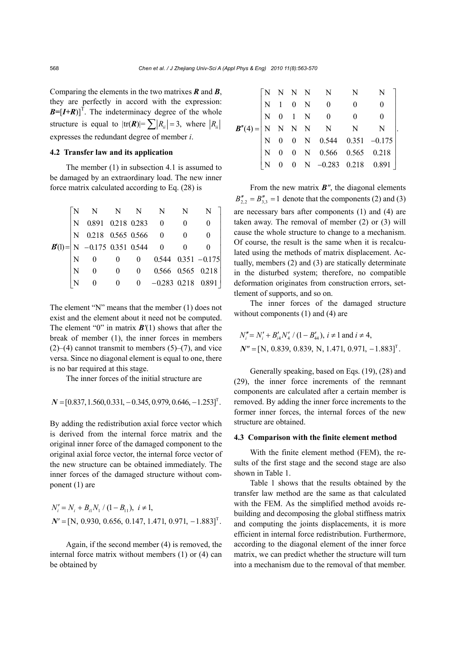Comparing the elements in the two matrixes *R* and *B*, they are perfectly in accord with the expression:  $\mathbf{B} = [\mathbf{I} + \mathbf{R}]^T$ . The indeterminacy degree of the whole structure is equal to  $|\text{tr}(\mathbf{R})| = \sum |R_{ii}| = 3$ , where  $|R_{ii}|$ expresses the redundant degree of member *i*.

## **4.2 Transfer law and its application**

The member (1) in subsection 4.1 is assumed to be damaged by an extraordinary load. The new inner force matrix calculated according to Eq. (28) is

|           |   |                                                                                                                                                                                                                                                                      |  |                                                     | N |
|-----------|---|----------------------------------------------------------------------------------------------------------------------------------------------------------------------------------------------------------------------------------------------------------------------|--|-----------------------------------------------------|---|
|           |   |                                                                                                                                                                                                                                                                      |  |                                                     |   |
|           |   |                                                                                                                                                                                                                                                                      |  |                                                     |   |
| $B'(1) =$ |   | $\begin{array}{ l c c c c } \hline \text{N} & \text{N} & \text{N} & \text{N} & \text{N} \ \hline \text{N} & 0.891 & 0.218 & 0.283 & 0 & 0 \ \hline \text{N} & 0.218 & 0.565 & 0.566 & 0 & 0 \ \hline \text{N} & -0.175 & 0.351 & 0.544 & 0 & 0 \ \hline \end{array}$ |  |                                                     |   |
|           |   |                                                                                                                                                                                                                                                                      |  | $0 \qquad 0 \qquad 0.544 \quad 0.351 \qquad -0.175$ |   |
|           | N |                                                                                                                                                                                                                                                                      |  | 0 0 0.566 0.565 0.218                               |   |
|           |   |                                                                                                                                                                                                                                                                      |  | $0 \qquad 0 \qquad -0.283 \quad 0.218 \quad 0.891$  |   |

The element "N" means that the member (1) does not exist and the element about it need not be computed. The element "0" in matrix *B'*(1) shows that after the break of member (1), the inner forces in members  $(2)$ – $(4)$  cannot transmit to members  $(5)$ – $(7)$ , and vice versa. Since no diagonal element is equal to one, there is no bar required at this stage.

The inner forces of the initial structure are

 $N = [0.837, 1.560, 0.331, -0.345, 0.979, 0.646, -1.253]$ <sup>T</sup>.

By adding the redistribution axial force vector which is derived from the internal force matrix and the original inner force of the damaged component to the original axial force vector, the internal force vector of the new structure can be obtained immediately. The inner forces of the damaged structure without component (1) are

$$
N'_{i} = N_{i} + B_{i1}N_{1} / (1 - B_{11}), i \neq 1,
$$
  

$$
N' = [N, 0.930, 0.656, 0.147, 1.471, 0.971, -1.883]^{T}.
$$

Again, if the second member (4) is removed, the internal force matrix without members (1) or (4) can be obtained by

|  |  |  | $\pmb{B}''(4)=\begin{bmatrix} \text{N} & \text{N} & \text{N} & \text{N} & \text{N} \\ \text{N} & 1 & 0 & \text{N} & 0 & 0 & 0 \\ \text{N} & 0 & 1 & \text{N} & 0 & 0 & 0 \\ \text{N} & \text{N} & \text{N} & \text{N} & \text{N} & \text{N} \\ \text{N} & 0 & 0 & \text{N} & 0.544 & 0.351 & -0.175 \\ \text{N} & 0 & 0 & \text{N} & 0.566 & 0.565 & 0.218 \\ \text{N} &$ |  |
|--|--|--|---------------------------------------------------------------------------------------------------------------------------------------------------------------------------------------------------------------------------------------------------------------------------------------------------------------------------------------------------------------------------|--|
|  |  |  |                                                                                                                                                                                                                                                                                                                                                                           |  |
|  |  |  |                                                                                                                                                                                                                                                                                                                                                                           |  |
|  |  |  |                                                                                                                                                                                                                                                                                                                                                                           |  |

From the new matrix *B"*, the diagonal elements  $B_{2,2}'' = B_{3,3}'' = 1$  denote that the components (2) and (3) are necessary bars after components (1) and (4) are taken away. The removal of member (2) or (3) will cause the whole structure to change to a mechanism. Of course, the result is the same when it is recalculated using the methods of matrix displacement. Actually, members (2) and (3) are statically determinate in the disturbed system; therefore, no compatible deformation originates from construction errors, settlement of supports, and so on.

The inner forces of the damaged structure without components (1) and (4) are

$$
N''_i = N'_i + B'_i A N'_4 / (1 - B'_4), i \neq 1 \text{ and } i \neq 4,
$$
  

$$
N'' = [N, 0.839, 0.839, N, 1.471, 0.971, -1.883]^T.
$$

Generally speaking, based on Eqs. (19), (28) and (29), the inner force increments of the remnant components are calculated after a certain member is removed. By adding the inner force increments to the former inner forces, the internal forces of the new structure are obtained.

#### **4.3 Comparison with the finite element method**

With the finite element method (FEM), the results of the first stage and the second stage are also shown in Table 1.

Table 1 shows that the results obtained by the transfer law method are the same as that calculated with the FEM. As the simplified method avoids rebuilding and decomposing the global stiffness matrix and computing the joints displacements, it is more efficient in internal force redistribution. Furthermore, according to the diagonal element of the inner force matrix, we can predict whether the structure will turn into a mechanism due to the removal of that member.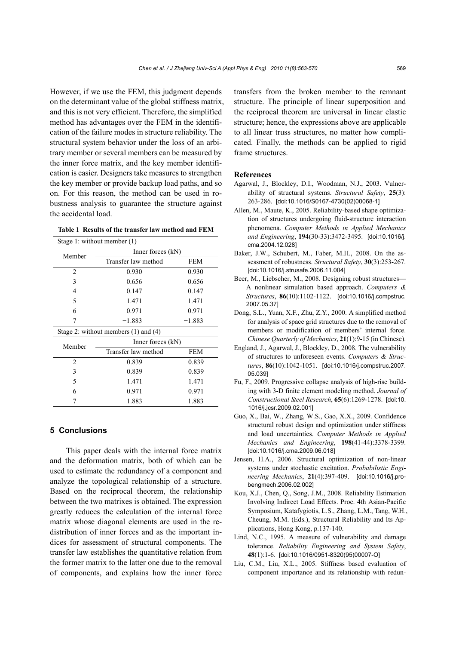However, if we use the FEM, this judgment depends on the determinant value of the global stiffness matrix, and this is not very efficient. Therefore, the simplified method has advantages over the FEM in the identification of the failure modes in structure reliability. The structural system behavior under the loss of an arbitrary member or several members can be measured by the inner force matrix, and the key member identification is easier. Designers take measures to strengthen the key member or provide backup load paths, and so on. For this reason, the method can be used in robustness analysis to guarantee the structure against the accidental load.

**Table 1 Results of the transfer law method and FEM**

| Stage 1: without member $(1)$ |                                          |            |  |  |  |  |  |
|-------------------------------|------------------------------------------|------------|--|--|--|--|--|
| Member                        | Inner forces $(kN)$                      |            |  |  |  |  |  |
|                               | Transfer law method                      | <b>FEM</b> |  |  |  |  |  |
| $\overline{2}$                | 0.930                                    | 0.930      |  |  |  |  |  |
| 3                             | 0.656                                    | 0.656      |  |  |  |  |  |
| 4                             | 0.147                                    | 0.147      |  |  |  |  |  |
| 5                             | 1.471                                    | 1.471      |  |  |  |  |  |
| 6                             | 0.971                                    | 0.971      |  |  |  |  |  |
| 7                             | $-1.883$                                 | $-1.883$   |  |  |  |  |  |
|                               | Stage 2: without members $(1)$ and $(4)$ |            |  |  |  |  |  |
| Member                        | Inner forces $(kN)$                      |            |  |  |  |  |  |
|                               | Transfer law method                      | <b>FEM</b> |  |  |  |  |  |
| $\overline{c}$                | 0.839                                    | 0.839      |  |  |  |  |  |
| 3                             | 0.839                                    | 0.839      |  |  |  |  |  |
| 5                             | 1.471                                    | 1.471      |  |  |  |  |  |
| 6                             | 0.971                                    | 0.971      |  |  |  |  |  |
| 7                             | $-1.883$                                 | $-1.883$   |  |  |  |  |  |

## **5 Conclusions**

This paper deals with the internal force matrix and the deformation matrix, both of which can be used to estimate the redundancy of a component and analyze the topological relationship of a structure. Based on the reciprocal theorem, the relationship between the two matrixes is obtained. The expression greatly reduces the calculation of the internal force matrix whose diagonal elements are used in the redistribution of inner forces and as the important indices for assessment of structural components. The transfer law establishes the quantitative relation from the former matrix to the latter one due to the removal of components, and explains how the inner force transfers from the broken member to the remnant structure. The principle of linear superposition and the reciprocal theorem are universal in linear elastic structure; hence, the expressions above are applicable to all linear truss structures, no matter how complicated. Finally, the methods can be applied to rigid frame structures.

#### **References**

- Agarwal, J., Blockley, D.I., Woodman, N.J., 2003. Vulnerability of structural systems. *Structural Safety*, **25**(3): 263-286. [doi:10.1016/S0167-4730(02)00068-1]
- Allen, M., Maute, K., 2005. Reliability-based shape optimization of structures undergoing fluid-structure interaction phenomena. *Computer Methods in Applied Mechanics and Engineering*, **194**(30-33):3472-3495. [doi:10.1016/j. cma.2004.12.028]
- Baker, J.W., Schubert, M., Faber, M.H., 2008. On the assessment of robustness. *Structural Safety*, **30**(3):253-267. [doi:10.1016/j.strusafe.2006.11.004]
- Beer, M., Liebscher, M., 2008. Designing robust structures— A nonlinear simulation based approach. *Computers & Structures*, **86**(10):1102-1122. [doi:10.1016/j.compstruc. 2007.05.37]
- Dong, S.L., Yuan, X.F., Zhu, Z.Y., 2000. A simplified method for analysis of space grid structures due to the removal of members or modification of members' internal force. *Chinese Quarterly of Mechanics*, **21**(1):9-15 (in Chinese).
- England, J., Agarwal, J., Blockley, D., 2008. The vulnerability of structures to unforeseen events. *Computers & Structures*, **86**(10):1042-1051. [doi:10.1016/j.compstruc.2007. 05.039]
- Fu, F., 2009. Progressive collapse analysis of high-rise building with 3-D finite element modeling method. *Journal of Constructional Steel Research*, **65**(6):1269-1278. [doi:10. 1016/j.jcsr.2009.02.001]
- Guo, X., Bai, W., Zhang, W.S., Gao, X.X., 2009. Confidence structural robust design and optimization under stiffness and load uncertainties. *Computer Methods in Applied Mechanics and Engineering*, **198**(41-44):3378-3399. [doi:10.1016/j.cma.2009.06.018]
- Jensen, H.A., 2006. Structural optimization of non-linear systems under stochastic excitation. *Probabilistic Engineering Mechanics*, **21**(4):397-409. [doi:10.1016/j.probengmech.2006.02.002]
- Kou, X.J., Chen, Q., Song, J.M., 2008. Reliability Estimation Involving Indirect Load Effects. Proc. 4th Asian-Pacific Symposium, Katafygiotis, L.S., Zhang, L.M., Tang, W.H., Cheung, M.M. (Eds.), Structural Reliability and Its Applications, Hong Kong, p.137-140.
- Lind, N.C., 1995. A measure of vulnerability and damage tolerance. *Reliability Engineering and System Safety*, **48**(1):1-6. [doi:10.1016/0951-8320(95)00007-O]
- Liu, C.M., Liu, X.L., 2005. Stiffness based evaluation of component importance and its relationship with redun-